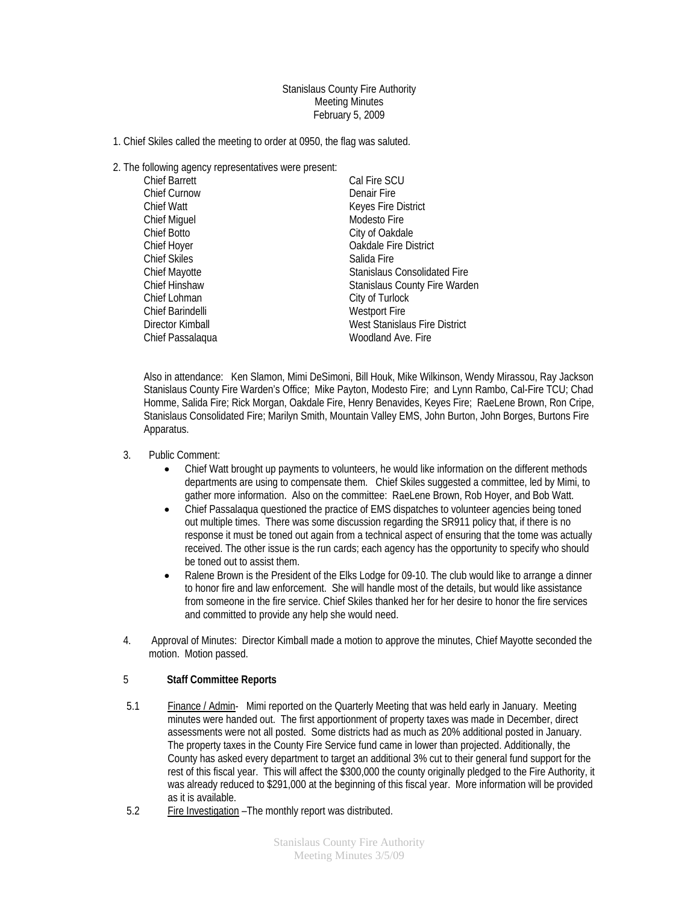Stanislaus County Fire Authority Meeting Minutes February 5, 2009

- 1. Chief Skiles called the meeting to order at 0950, the flag was saluted.
- 2. The following agency representatives were present:

| <b>Chief Barrett</b> | Cal Fire SCU                         |
|----------------------|--------------------------------------|
| <b>Chief Curnow</b>  | Denair Fire                          |
| Chief Watt           | Keyes Fire District                  |
| <b>Chief Miguel</b>  | Modesto Fire                         |
| Chief Botto          | City of Oakdale                      |
| Chief Hoyer          | Oakdale Fire District                |
| <b>Chief Skiles</b>  | Salida Fire                          |
| Chief Mayotte        | <b>Stanislaus Consolidated Fire</b>  |
| Chief Hinshaw        | <b>Stanislaus County Fire Warden</b> |
| Chief Lohman         | City of Turlock                      |
| Chief Barindelli     | <b>Westport Fire</b>                 |
| Director Kimball     | West Stanislaus Fire District        |
| Chief Passalagua     | Woodland Ave. Fire                   |

Also in attendance: Ken Slamon, Mimi DeSimoni, Bill Houk, Mike Wilkinson, Wendy Mirassou, Ray Jackson Stanislaus County Fire Warden's Office; Mike Payton, Modesto Fire; and Lynn Rambo, Cal-Fire TCU; Chad Homme, Salida Fire; Rick Morgan, Oakdale Fire, Henry Benavides, Keyes Fire; RaeLene Brown, Ron Cripe, Stanislaus Consolidated Fire; Marilyn Smith, Mountain Valley EMS, John Burton, John Borges, Burtons Fire Apparatus.

- 3. Public Comment:
	- Chief Watt brought up payments to volunteers, he would like information on the different methods departments are using to compensate them. Chief Skiles suggested a committee, led by Mimi, to gather more information. Also on the committee: RaeLene Brown, Rob Hoyer, and Bob Watt.
	- Chief Passalaqua questioned the practice of EMS dispatches to volunteer agencies being toned out multiple times. There was some discussion regarding the SR911 policy that, if there is no response it must be toned out again from a technical aspect of ensuring that the tome was actually received. The other issue is the run cards; each agency has the opportunity to specify who should be toned out to assist them.
	- Ralene Brown is the President of the Elks Lodge for 09-10. The club would like to arrange a dinner to honor fire and law enforcement. She will handle most of the details, but would like assistance from someone in the fire service. Chief Skiles thanked her for her desire to honor the fire services and committed to provide any help she would need.
- 4. Approval of Minutes: Director Kimball made a motion to approve the minutes, Chief Mayotte seconded the motion. Motion passed.

## 5 **Staff Committee Reports**

- 5.1 Finance / Admin- Mimi reported on the Quarterly Meeting that was held early in January. Meeting minutes were handed out. The first apportionment of property taxes was made in December, direct assessments were not all posted. Some districts had as much as 20% additional posted in January. The property taxes in the County Fire Service fund came in lower than projected. Additionally, the County has asked every department to target an additional 3% cut to their general fund support for the rest of this fiscal year. This will affect the \$300,000 the county originally pledged to the Fire Authority, it was already reduced to \$291,000 at the beginning of this fiscal year. More information will be provided as it is available.
- 5.2 Fire Investigation –The monthly report was distributed.